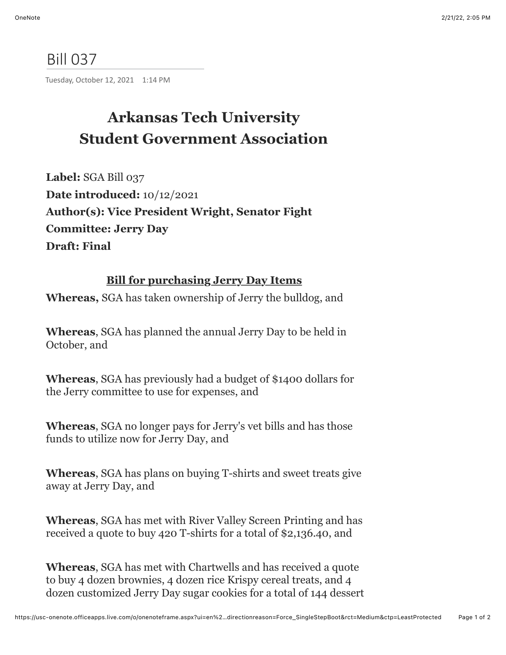## Bill 037

Tuesday, October 12, 2021 1:14 PM

## **Arkansas Tech University Student Government Association**

**Label:** SGA Bill 037 **Date introduced:** 10/12/2021 **Author(s): Vice President Wright, Senator Fight Committee: Jerry Day Draft: Final**

## **Bill for purchasing Jerry Day Items**

**Whereas,** SGA has taken ownership of Jerry the bulldog, and

**Whereas**, SGA has planned the annual Jerry Day to be held in October, and

**Whereas**, SGA has previously had a budget of \$1400 dollars for the Jerry committee to use for expenses, and

**Whereas**, SGA no longer pays for Jerry's vet bills and has those funds to utilize now for Jerry Day, and

**Whereas**, SGA has plans on buying T-shirts and sweet treats give away at Jerry Day, and

**Whereas**, SGA has met with River Valley Screen Printing and has received a quote to buy 420 T-shirts for a total of \$2,136.40, and

**Whereas**, SGA has met with Chartwells and has received a quote to buy 4 dozen brownies, 4 dozen rice Krispy cereal treats, and 4 dozen customized Jerry Day sugar cookies for a total of 144 dessert